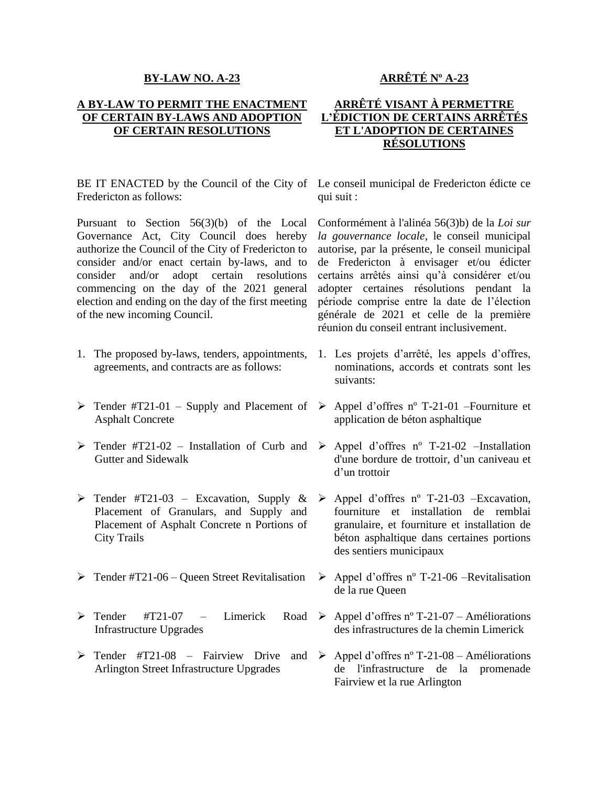## **BY-LAW NO. A-23**

## **A BY-LAW TO PERMIT THE ENACTMENT OF CERTAIN BY-LAWS AND ADOPTION OF CERTAIN RESOLUTIONS**

BE IT ENACTED by the Council of the City of Le conseil municipal de Fredericton édicte ce Fredericton as follows:

Pursuant to Section 56(3)(b) of the Local Governance Act, City Council does hereby authorize the Council of the City of Fredericton to consider and/or enact certain by-laws, and to consider and/or adopt certain resolutions commencing on the day of the 2021 general election and ending on the day of the first meeting of the new incoming Council.

- 1. The proposed by-laws, tenders, appointments, agreements, and contracts are as follows:
- ➢ Tender #T21-01 Supply and Placement of ➢ Appel d'offres nº T-21-01 –Fourniture et Asphalt Concrete
- $\triangleright$  Tender #T21-02 Installation of Curb and  $\triangleright$  Appel d'offres n° T-21-02 –Installation Gutter and Sidewalk
- $\triangleright$  Tender #T21-03 Excavation, Supply & Placement of Granulars, and Supply and Placement of Asphalt Concrete n Portions of City Trails
- $\triangleright$  Tender #T21-06 Queen Street Revitalisation  $\triangleright$  Appel d'offres n° T-21-06 –Revitalisation
- $\triangleright$  Tender #T21-07 Limerick Infrastructure Upgrades
- ➢ Tender #T21-08 Fairview Drive and ➢ Appel d'offres nº T-21-08 Améliorations Arlington Street Infrastructure Upgrades

## **ARRÊTÉ Nº A-23**

## **ARRÊTÉ VISANT À PERMETTRE L'ÉDICTION DE CERTAINS ARRÊTÉS ET L'ADOPTION DE CERTAINES RÉSOLUTIONS**

qui suit :

Conformément à l'alinéa 56(3)b) de la *Loi sur la gouvernance locale*, le conseil municipal autorise, par la présente, le conseil municipal de Fredericton à envisager et/ou édicter certains arrêtés ainsi qu'à considérer et/ou adopter certaines résolutions pendant la période comprise entre la date de l'élection générale de 2021 et celle de la première réunion du conseil entrant inclusivement.

- 1. Les projets d'arrêté, les appels d'offres, nominations, accords et contrats sont les suivants:
- application de béton asphaltique
- d'une bordure de trottoir, d'un caniveau et d'un trottoir
- $\triangleright$  Appel d'offres n° T-21-03 –Excavation, fourniture et installation de remblai granulaire, et fourniture et installation de béton asphaltique dans certaines portions des sentiers municipaux
- de la rue Queen
- Road  $\triangleright$  Appel d'offres n° T-21-07 Améliorations des infrastructures de la chemin Limerick
	- de l'infrastructure de la promenade Fairview et la rue Arlington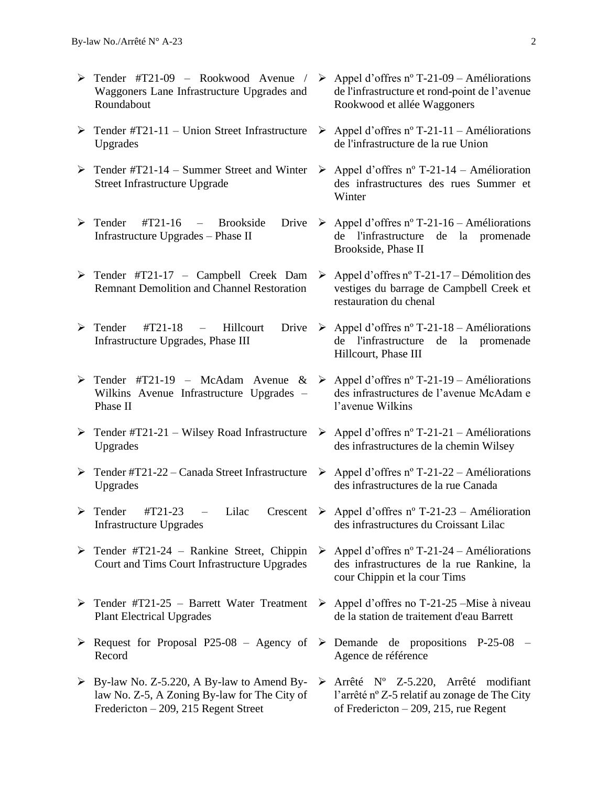- ➢ Tender #T21-09 Rookwood Avenue / Waggoners Lane Infrastructure Upgrades and Roundabout
- ➢ Tender #T21-11 Union Street Infrastructure ➢ Appel d'offres nº T-21-11 Améliorations Upgrades
- ➢ Tender #T21-14 Summer Street and Winter ➢ Appel d'offres nº T-21-14 Amélioration Street Infrastructure Upgrade
- $\triangleright$  Tender #T21-16 Brookside Infrastructure Upgrades – Phase II
- ➢ Tender #T21-17 Campbell Creek Dam Remnant Demolition and Channel Restoration
- $\triangleright$  Tender #T21-18 Hillcourt Infrastructure Upgrades, Phase III
- $\triangleright$  Tender #T21-19 McAdam Avenue &  $\triangleright$  Appel d'offres n° T-21-19 Améliorations Wilkins Avenue Infrastructure Upgrades – Phase II
- ➢ Tender #T21-21 Wilsey Road Infrastructure ➢ Appel d'offres nº T-21-21 Améliorations Upgrades
- ➢ Tender #T21-22 Canada Street Infrastructure ➢ Appel d'offres nº T-21-22 Améliorations Upgrades
- $\triangleright$  Tender #T21-23 Lilac Crescent  $\triangleright$  Appel d'offres n° T-21-23 Amélioration Infrastructure Upgrades
- ➢ Tender #T21-24 Rankine Street, Chippin Court and Tims Court Infrastructure Upgrades
- ➢ Tender #T21-25 Barrett Water Treatment ➢ Appel d'offres no T-21-25 –Mise à niveau Plant Electrical Upgrades
- $\triangleright$  Request for Proposal P25-08 Agency of  $\triangleright$  Demande de propositions P-25-08 Record
- ➢ By-law No. Z-5.220, A By-law to Amend Bylaw No. Z-5, A Zoning By-law for The City of Fredericton – 209, 215 Regent Street
- $\triangleright$  Appel d'offres n° T-21-09 Améliorations de l'infrastructure et rond-point de l'avenue Rookwood et allée Waggoners
- de l'infrastructure de la rue Union
- des infrastructures des rues Summer et Winter
- Drive ≻ Appel d'offres nº T-21-16 Améliorations de l'infrastructure de la promenade Brookside, Phase II
	- ➢ Appel d'offres nº T-21-17 Démolition des vestiges du barrage de Campbell Creek et restauration du chenal
- Drive ≻ Appel d'offres n° T-21-18 Améliorations de l'infrastructure de la promenade Hillcourt, Phase III
	- des infrastructures de l'avenue McAdam e l'avenue Wilkins
	- des infrastructures de la chemin Wilsey
	- des infrastructures de la rue Canada
	- des infrastructures du Croissant Lilac
	- $\triangleright$  Appel d'offres n° T-21-24 Améliorations des infrastructures de la rue Rankine, la cour Chippin et la cour Tims
	- de la station de traitement d'eau Barrett
	- Agence de référence
	- ➢ Arrêté Nº Z-5.220, Arrêté modifiant l'arrêté nº Z-5 relatif au zonage de The City of Fredericton – 209, 215, rue Regent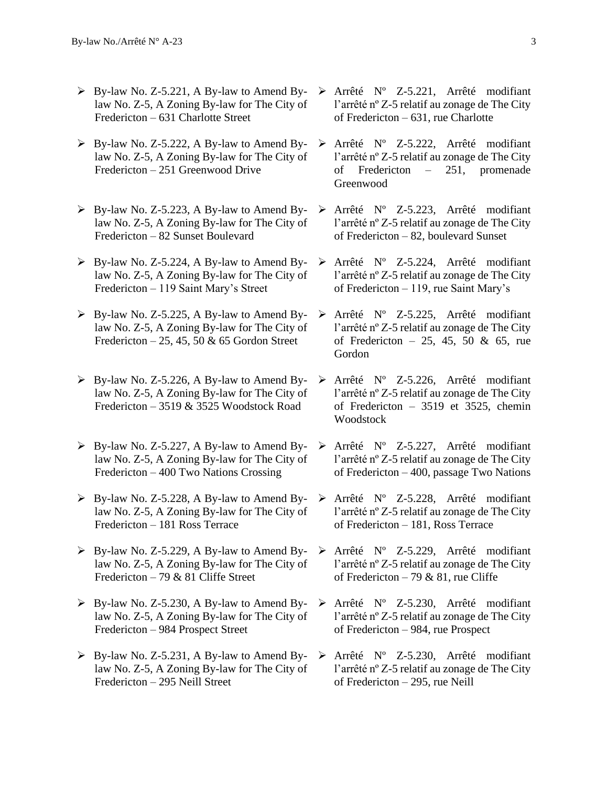- ➢ By-law No. Z-5.221, A By-law to Amend Bylaw No. Z-5, A Zoning By-law for The City of Fredericton – 631 Charlotte Street
- $\triangleright$  By-law No. Z-5.222, A By-law to Amend Bylaw No. Z-5, A Zoning By-law for The City of Fredericton – 251 Greenwood Drive
- $\triangleright$  By-law No. Z-5.223, A By-law to Amend Bylaw No. Z-5, A Zoning By-law for The City of Fredericton – 82 Sunset Boulevard
- ➢ By-law No. Z-5.224, A By-law to Amend Bylaw No. Z-5, A Zoning By-law for The City of Fredericton – 119 Saint Mary's Street
- $\triangleright$  By-law No. Z-5.225, A By-law to Amend Bylaw No. Z-5, A Zoning By-law for The City of Fredericton – 25, 45, 50  $\&$  65 Gordon Street
- $\triangleright$  By-law No. Z-5.226, A By-law to Amend Bylaw No. Z-5, A Zoning By-law for The City of Fredericton – 3519 & 3525 Woodstock Road
- $\triangleright$  By-law No. Z-5.227, A By-law to Amend Bylaw No. Z-5, A Zoning By-law for The City of Fredericton – 400 Two Nations Crossing
- $\triangleright$  By-law No. Z-5.228, A By-law to Amend Bylaw No. Z-5, A Zoning By-law for The City of Fredericton – 181 Ross Terrace
- ➢ By-law No. Z-5.229, A By-law to Amend Bylaw No. Z-5, A Zoning By-law for The City of Fredericton – 79 & 81 Cliffe Street
- ➢ By-law No. Z-5.230, A By-law to Amend Bylaw No. Z-5, A Zoning By-law for The City of Fredericton – 984 Prospect Street
- $\triangleright$  By-law No. Z-5.231, A By-law to Amend Bylaw No. Z-5, A Zoning By-law for The City of Fredericton – 295 Neill Street
- ➢ Arrêté Nº Z-5.221, Arrêté modifiant l'arrêté nº Z-5 relatif au zonage de The City of Fredericton – 631, rue Charlotte
- ➢ Arrêté Nº Z-5.222, Arrêté modifiant l'arrêté nº Z-5 relatif au zonage de The City of Fredericton – 251, promenade Greenwood
- ➢ Arrêté Nº Z-5.223, Arrêté modifiant l'arrêté nº Z-5 relatif au zonage de The City of Fredericton – 82, boulevard Sunset
- ➢ Arrêté Nº Z-5.224, Arrêté modifiant l'arrêté nº Z-5 relatif au zonage de The City of Fredericton – 119, rue Saint Mary's
- ➢ Arrêté Nº Z-5.225, Arrêté modifiant l'arrêté nº Z-5 relatif au zonage de The City of Fredericton – 25, 45, 50 & 65, rue Gordon
- ➢ Arrêté Nº Z-5.226, Arrêté modifiant l'arrêté nº Z-5 relatif au zonage de The City of Fredericton – 3519 et 3525, chemin **Woodstock**
- ➢ Arrêté Nº Z-5.227, Arrêté modifiant l'arrêté nº Z-5 relatif au zonage de The City of Fredericton – 400, passage Two Nations
- ➢ Arrêté Nº Z-5.228, Arrêté modifiant l'arrêté nº Z-5 relatif au zonage de The City of Fredericton – 181, Ross Terrace
- ➢ Arrêté Nº Z-5.229, Arrêté modifiant l'arrêté nº Z-5 relatif au zonage de The City of Fredericton – 79 & 81, rue Cliffe
- ➢ Arrêté Nº Z-5.230, Arrêté modifiant l'arrêté nº Z-5 relatif au zonage de The City of Fredericton – 984, rue Prospect
- ➢ Arrêté Nº Z-5.230, Arrêté modifiant l'arrêté nº Z-5 relatif au zonage de The City of Fredericton – 295, rue Neill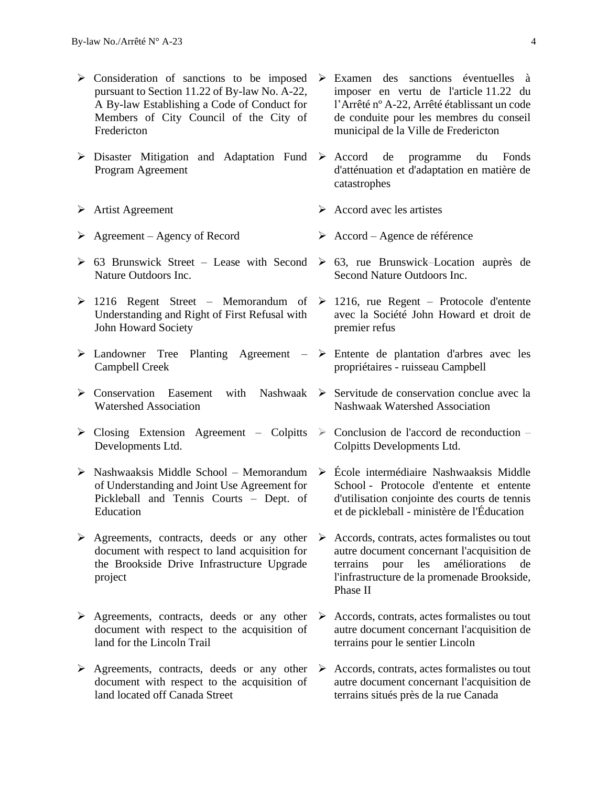- ➢ Consideration of sanctions to be imposed ➢ Examen des sanctions éventuelles à pursuant to Section 11.22 of By-law No. A-22, A By-law Establishing a Code of Conduct for Members of City Council of the City of Fredericton
- ➢ Disaster Mitigation and Adaptation Fund ➢ Accord de programme du Fonds Program Agreement
- 
- 
- $\geq$  63 Brunswick Street Lease with Second  $\geq$  63, rue Brunswick–Location auprès de Nature Outdoors Inc.
- $\geq 1216$  Regent Street Memorandum of Understanding and Right of First Refusal with John Howard Society
- ➢ Landowner Tree Planting Agreement Campbell Creek
- ➢ Conservation Easement with Nashwaak ➢ Servitude de conservation conclue avec la Watershed Association
- $\triangleright$  Closing Extension Agreement Colpitts Developments Ltd.
- ➢ Nashwaaksis Middle School Memorandum of Understanding and Joint Use Agreement for Pickleball and Tennis Courts – Dept. of **Education**
- ➢ Agreements, contracts, deeds or any other document with respect to land acquisition for the Brookside Drive Infrastructure Upgrade project
- ➢ Agreements, contracts, deeds or any other document with respect to the acquisition of land for the Lincoln Trail
- ➢ Agreements, contracts, deeds or any other document with respect to the acquisition of land located off Canada Street
- imposer en vertu de l'article 11.22 du l'Arrêté nº A-22, Arrêté établissant un code de conduite pour les membres du conseil municipal de la Ville de Fredericton
- d'atténuation et d'adaptation en matière de catastrophes
- ➢ Artist Agreement ➢ Accord avec les artistes
- ➢ Agreement Agency of Record ➢ Accord Agence de référence
	- Second Nature Outdoors Inc.
	- $\geq$  1216, rue Regent Protocole d'entente avec la Société John Howard et droit de premier refus
	- ➢ Entente de plantation d'arbres avec les propriétaires - ruisseau Campbell
	- Nashwaak Watershed Association
	- $\geq$  Conclusion de l'accord de reconduction Colpitts Developments Ltd.
	- ➢ École intermédiaire Nashwaaksis Middle School - Protocole d'entente et entente d'utilisation conjointe des courts de tennis et de pickleball - ministère de l'Éducation
	- ➢ Accords, contrats, actes formalistes ou tout autre document concernant l'acquisition de terrains pour les améliorations de l'infrastructure de la promenade Brookside, Phase II
	- ➢ Accords, contrats, actes formalistes ou tout autre document concernant l'acquisition de terrains pour le sentier Lincoln
	- ➢ Accords, contrats, actes formalistes ou tout autre document concernant l'acquisition de terrains situés près de la rue Canada